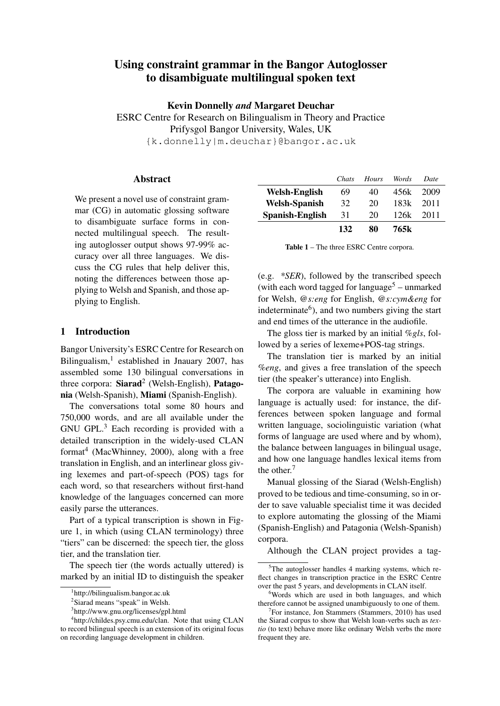# Using constraint grammar in the Bangor Autoglosser to disambiguate multilingual spoken text

Kevin Donnelly *and* Margaret Deuchar

ESRC Centre for Research on Bilingualism in Theory and Practice Prifysgol Bangor University, Wales, UK {k.donnelly|m.deuchar}@bangor.ac.uk

## Abstract

We present a novel use of constraint grammar (CG) in automatic glossing software to disambiguate surface forms in connected multilingual speech. The resulting autoglosser output shows 97-99% accuracy over all three languages. We discuss the CG rules that help deliver this, noting the differences between those applying to Welsh and Spanish, and those applying to English.

### 1 Introduction

Bangor University's ESRC Centre for Research on Bilingualism,<sup>1</sup> established in Jnauary 2007, has assembled some 130 bilingual conversations in three corpora:  $Siarad^2$  (Welsh-English), Patagonia (Welsh-Spanish), Miami (Spanish-English).

The conversations total some 80 hours and 750,000 words, and are all available under the GNU GPL.<sup>3</sup> Each recording is provided with a detailed transcription in the widely-used CLAN format<sup>4</sup> (MacWhinney, 2000), along with a free translation in English, and an interlinear gloss giving lexemes and part-of-speech (POS) tags for each word, so that researchers without first-hand knowledge of the languages concerned can more easily parse the utterances.

Part of a typical transcription is shown in Figure 1, in which (using CLAN terminology) three "tiers" can be discerned: the speech tier, the gloss tier, and the translation tier.

The speech tier (the words actually uttered) is marked by an initial ID to distinguish the speaker

|                 | Chats | Hours | Words | Date |
|-----------------|-------|-------|-------|------|
| Welsh-English   | 69    | 40    | 456k  | 2009 |
| Welsh-Spanish   | 32    | 20    | 183k  | 2011 |
| Spanish-English | 31    | 20    | 126k  | 2011 |
|                 | 132   | 80    | 765k  |      |

Table 1 – The three ESRC Centre corpora.

(e.g. *\*SER*), followed by the transcribed speech (with each word tagged for language<sup>5</sup> – unmarked for Welsh, *@s:eng* for English, *@s:cym&eng* for indeterminate<sup>6</sup>), and two numbers giving the start and end times of the utterance in the audiofile.

The gloss tier is marked by an initial *%gls*, followed by a series of lexeme+POS-tag strings.

The translation tier is marked by an initial *%eng*, and gives a free translation of the speech tier (the speaker's utterance) into English.

The corpora are valuable in examining how language is actually used: for instance, the differences between spoken language and formal written language, sociolinguistic variation (what forms of language are used where and by whom), the balance between languages in bilingual usage, and how one language handles lexical items from the other.<sup>7</sup>

Manual glossing of the Siarad (Welsh-English) proved to be tedious and time-consuming, so in order to save valuable specialist time it was decided to explore automating the glossing of the Miami (Spanish-English) and Patagonia (Welsh-Spanish) corpora.

Although the CLAN project provides a tag-

<sup>1</sup> http://bilingualism.bangor.ac.uk

<sup>&</sup>lt;sup>2</sup>Siarad means "speak" in Welsh.

<sup>3</sup> http://www.gnu.org/licenses/gpl.html

<sup>4</sup> http://childes.psy.cmu.edu/clan. Note that using CLAN to record bilingual speech is an extension of its original focus on recording language development in children.

 $5$ The autoglosser handles 4 marking systems, which reflect changes in transcription practice in the ESRC Centre over the past 5 years, and developments in CLAN itself.

<sup>&</sup>lt;sup>6</sup>Words which are used in both languages, and which therefore cannot be assigned unambiguously to one of them.

<sup>&</sup>lt;sup>7</sup>For instance, Jon Stammers (Stammers, 2010) has used the Siarad corpus to show that Welsh loan-verbs such as *textio* (to text) behave more like ordinary Welsh verbs the more frequent they are.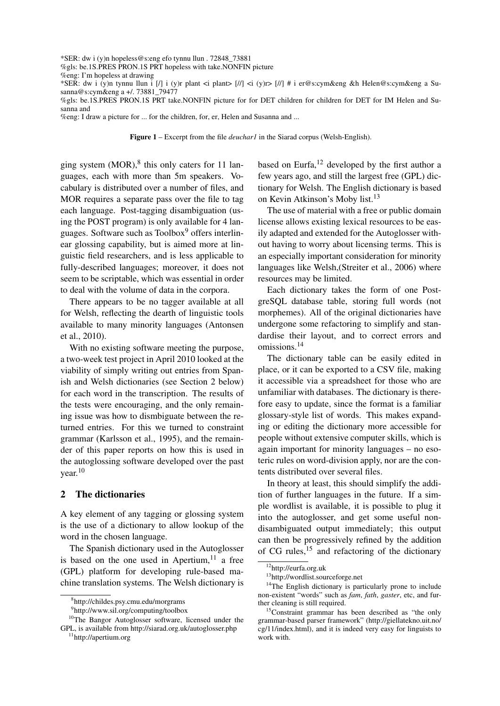\*SER: dw i (y)n hopeless@s:eng efo tynnu llun . 72848\_73881

%gls: be.1S.PRES PRON.1S PRT hopeless with take.NONFIN picture

\*SER: dw i (y)n tynnu llun i [/] i (y)r plant <i plant> [//] <i (y)r> [//] # i er@s:cym&eng &h Helen@s:cym&eng a Susanna@s:cym&eng a +/. 73881\_79477

%gls: be.1S.PRES PRON.1S PRT take.NONFIN picture for for DET children for children for DET for IM Helen and Susanna and

%eng: I draw a picture for ... for the children, for, er, Helen and Susanna and ...

Figure 1 – Excerpt from the file *deuchar1* in the Siarad corpus (Welsh-English).

ging system  $(MOR)^8$  this only caters for 11 languages, each with more than 5m speakers. Vocabulary is distributed over a number of files, and MOR requires a separate pass over the file to tag each language. Post-tagging disambiguation (using the POST program) is only available for 4 languages. Software such as Toolbox<sup>9</sup> offers interlinear glossing capability, but is aimed more at linguistic field researchers, and is less applicable to fully-described languages; moreover, it does not seem to be scriptable, which was essential in order to deal with the volume of data in the corpora.

There appears to be no tagger available at all for Welsh, reflecting the dearth of linguistic tools available to many minority languages (Antonsen et al., 2010).

With no existing software meeting the purpose, a two-week test project in April 2010 looked at the viability of simply writing out entries from Spanish and Welsh dictionaries (see Section 2 below) for each word in the transcription. The results of the tests were encouraging, and the only remaining issue was how to dismbiguate between the returned entries. For this we turned to constraint grammar (Karlsson et al., 1995), and the remainder of this paper reports on how this is used in the autoglossing software developed over the past  $year<sup>10</sup>$ 

## 2 The dictionaries

A key element of any tagging or glossing system is the use of a dictionary to allow lookup of the word in the chosen language.

The Spanish dictionary used in the Autoglosser is based on the one used in Apertium, $11$  a free (GPL) platform for developing rule-based machine translation systems. The Welsh dictionary is based on Eurfa, $12$  developed by the first author a few years ago, and still the largest free (GPL) dictionary for Welsh. The English dictionary is based on Kevin Atkinson's Moby list.<sup>13</sup>

The use of material with a free or public domain license allows existing lexical resources to be easily adapted and extended for the Autoglosser without having to worry about licensing terms. This is an especially important consideration for minority languages like Welsh,(Streiter et al., 2006) where resources may be limited.

Each dictionary takes the form of one PostgreSQL database table, storing full words (not morphemes). All of the original dictionaries have undergone some refactoring to simplify and standardise their layout, and to correct errors and omissions.<sup>14</sup>

The dictionary table can be easily edited in place, or it can be exported to a CSV file, making it accessible via a spreadsheet for those who are unfamiliar with databases. The dictionary is therefore easy to update, since the format is a familiar glossary-style list of words. This makes expanding or editing the dictionary more accessible for people without extensive computer skills, which is again important for minority languages – no esoteric rules on word-division apply, nor are the contents distributed over several files.

In theory at least, this should simplify the addition of further languages in the future. If a simple wordlist is available, it is possible to plug it into the autoglosser, and get some useful nondisambiguated output immediately; this output can then be progressively refined by the addition of CG rules,  $15$  and refactoring of the dictionary

<sup>%</sup>eng: I'm hopeless at drawing

<sup>8</sup> http://childes.psy.cmu.edu/morgrams

<sup>9</sup> http://www.sil.org/computing/toolbox

<sup>&</sup>lt;sup>10</sup>The Bangor Autoglosser software, licensed under the GPL, is available from http://siarad.org.uk/autoglosser.php

<sup>11</sup>http://apertium.org

<sup>12</sup>http://eurfa.org.uk

<sup>13</sup>http://wordlist.sourceforge.net

 $14$ The English dictionary is particularly prone to include non-existent "words" such as *fam*, *fath*, *gaster*, etc, and further cleaning is still required.

<sup>&</sup>lt;sup>15</sup>Constraint grammar has been described as "the only grammar-based parser framework" (http://giellatekno.uit.no/ cg/11/index.html), and it is indeed very easy for linguists to work with.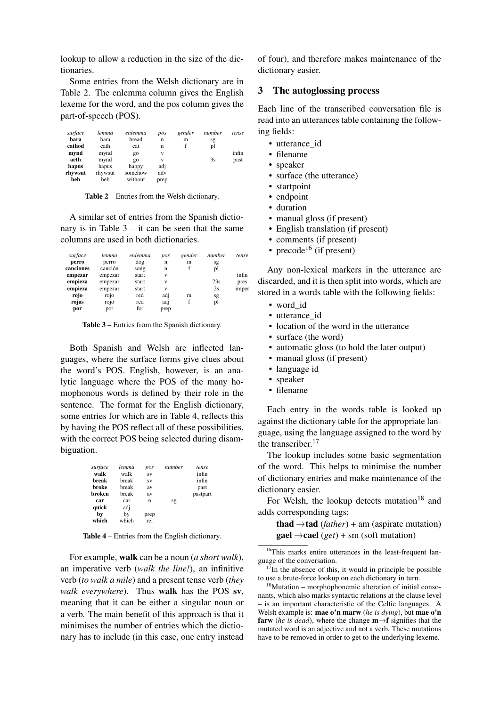lookup to allow a reduction in the size of the dictionaries.

Some entries from the Welsh dictionary are in Table 2. The enlemma column gives the English lexeme for the word, and the pos column gives the part-of-speech (POS).

| surface | lemma   | enlemma | pos  | gender | number | tense |
|---------|---------|---------|------|--------|--------|-------|
| bara    | bara    | bread   | n    | m      | sg     |       |
| cathod  | cath    | cat     | n    |        | pl     |       |
| mynd    | mynd    | go      | V    |        |        | infin |
| aeth    | mynd    | go      | V    |        | 3s     | past  |
| hapus   | hapus   | happy   | adj  |        |        |       |
| rhywsut | rhywsut | somehow | adv  |        |        |       |
| heb     | heb     | without | prep |        |        |       |

Table 2 – Entries from the Welsh dictionary.

A similar set of entries from the Spanish dictionary is in Table  $3 - it$  can be seen that the same columns are used in both dictionaries.

| surface   | lemma   | enlemma | pos         | gender | number | tense |
|-----------|---------|---------|-------------|--------|--------|-------|
| perro     | perro   | dog     | $\mathbf n$ | m      | sg     |       |
| canciones | canción | song    | n           |        | pl     |       |
| empezar   | empezar | start   | V           |        |        | infin |
| empieza   | empezar | start   | V           |        | 23s    | pres  |
| empieza   | empezar | start   | V           |        | 2s     | imper |
| rojo      | rojo    | red     | adj         | m      | sg     |       |
| rojas     | rojo    | red     | adj         | f      | pl     |       |
| por       | por     | for     | prep        |        |        |       |

Table 3 – Entries from the Spanish dictionary.

Both Spanish and Welsh are inflected languages, where the surface forms give clues about the word's POS. English, however, is an analytic language where the POS of the many homophonous words is defined by their role in the sentence. The format for the English dictionary, some entries for which are in Table 4, reflects this by having the POS reflect all of these possibilities, with the correct POS being selected during disambiguation.

| surface | lemma | pos  | number | tense    |
|---------|-------|------|--------|----------|
| walk    | walk  | SV   |        | infin    |
| break   | break | SV   |        | infin    |
| broke   | break | av   |        | past     |
| broken  | break | av   |        | pastpart |
| car     | car   | n    | sg     |          |
| quick   | adj   |      |        |          |
| by      | by    | prep |        |          |
| which   | which | rel  |        |          |

Table 4 – Entries from the English dictionary.

For example, walk can be a noun (*a short walk*), an imperative verb (*walk the line!*), an infinitive verb (*to walk a mile*) and a present tense verb (*they walk everywhere*). Thus walk has the POS sv, meaning that it can be either a singular noun or a verb. The main benefit of this approach is that it minimises the number of entries which the dictionary has to include (in this case, one entry instead

of four), and therefore makes maintenance of the dictionary easier.

## 3 The autoglossing process

Each line of the transcribed conversation file is read into an utterances table containing the following fields:

- utterance id
- filename
- speaker
- surface (the utterance)
- startpoint
- endpoint
- duration
- manual gloss (if present)
- English translation (if present)
- comments (if present)
- precode<sup>16</sup> (if present)

Any non-lexical markers in the utterance are discarded, and it is then split into words, which are stored in a words table with the following fields:

- word\_id
- utterance id
- location of the word in the utterance
- surface (the word)
- automatic gloss (to hold the later output)
- manual gloss (if present)
- language id
- speaker
- filename

Each entry in the words table is looked up against the dictionary table for the appropriate language, using the language assigned to the word by the transcriber.<sup>17</sup>

The lookup includes some basic segmentation of the word. This helps to minimise the number of dictionary entries and make maintenance of the dictionary easier.

For Welsh, the lookup detects mutation<sup>18</sup> and adds corresponding tags:

**thad**  $\rightarrow$  **tad** (*father*) + am (aspirate mutation) **gael**  $\rightarrow$  **cael** (*get*) + sm (soft mutation)

<sup>&</sup>lt;sup>16</sup>This marks entire utterances in the least-frequent language of the conversation.

 $17$ In the absence of this, it would in principle be possible to use a brute-force lookup on each dictionary in turn.

<sup>18</sup>Mutation – morphophonemic alteration of initial consonants, which also marks syntactic relations at the clause level – is an important characteristic of the Celtic languages. A Welsh example is: mae o'n marw (*he is dying*), but mae o'n **farw** (*he is dead*), where the change  $m \rightarrow f$  signifies that the mutated word is an adjective and not a verb. These mutations have to be removed in order to get to the underlying lexeme.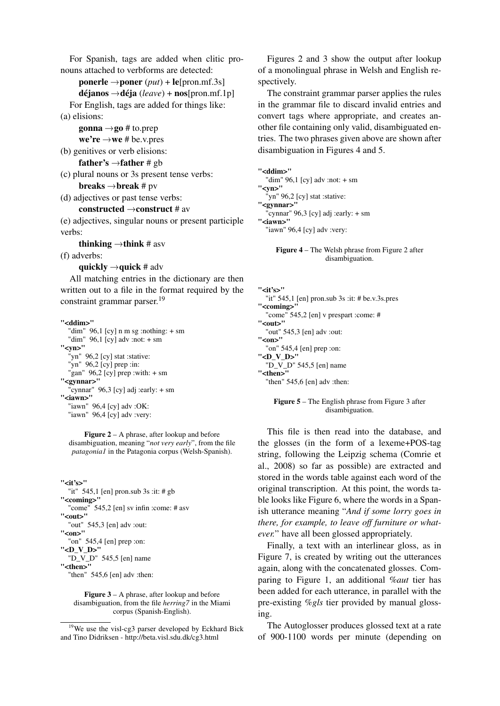For Spanish, tags are added when clitic pronouns attached to verbforms are detected:

**ponerle**  $\rightarrow$  **poner** (*put*) + **le**[pron.mf.3s]

 $d$ **éjanos**  $\rightarrow$ **déja** (*leave*) + **nos**[pron.mf.1p] For English, tags are added for things like:

(a) elisions:

gonna  $\rightarrow$ go # to.prep

- $we're \rightarrow we \# be.v.$ pres
- (b) genitives or verb elisions:

father's  $\rightarrow$  father # gb

- (c) plural nouns or 3s present tense verbs: **breaks**  $\rightarrow$  **break** # pv
- (d) adjectives or past tense verbs:

#### constructed  $\rightarrow$  construct # av

(e) adjectives, singular nouns or present participle verbs:

thinking  $\rightarrow$  think # asv

(f) adverbs:

quickly  $\rightarrow$  quick # adv

All matching entries in the dictionary are then written out to a file in the format required by the constraint grammar parser.<sup>19</sup>

"<ddim>" "dim" 96,1 [cy] n m sg :nothing:  $+$  sm "dim" 96,1 [cy] adv :not: + sm "<vn>" "yn" 96,2 [cy] stat :stative: "yn" 96,2 [cy] prep :in: "gan"  $96,2$  [cy] prep :with: + sm "<gynnar>" "cynnar" 96,3 [cy] adj :early:  $+ \text{sm}$ "<iawn>" "iawn" 96,4 [cy] adv :OK: "iawn" 96,4 [cy] adv :very:

Figure 2 – A phrase, after lookup and before disambiguation, meaning "*not very early*", from the file *patagonia1* in the Patagonia corpus (Welsh-Spanish).

"<it's>" "it" 545,1 [en] pron.sub 3s :it: # gb "<coming>" "come" 545,2 [en] sv infin :come: # asv "<out>" "out" 545,3 [en] adv :out: "<on>" "on" 545,4 [en] prep :on: "<D\_V\_D>" "D\_V\_D" 545,5 [en] name "<then>" "then" 545,6 [en] adv :then:

#### Figure 3 – A phrase, after lookup and before disambiguation, from the file *herring7* in the Miami corpus (Spanish-English).

Figures 2 and 3 show the output after lookup of a monolingual phrase in Welsh and English respectively.

The constraint grammar parser applies the rules in the grammar file to discard invalid entries and convert tags where appropriate, and creates another file containing only valid, disambiguated entries. The two phrases given above are shown after disambiguation in Figures 4 and 5.

"<ddim>" "dim" 96,1 [cy] adv :not: + sm "<yn>" "yn" 96,2 [cy] stat :stative: "<gynnar>" "cynnar" 96,3 [cy] adj :early: + sm "<iawn>" "iawn" 96,4 [cy] adv :very:

> Figure 4 – The Welsh phrase from Figure 2 after disambiguation.

"<it's>" "it" 545,1 [en] pron.sub 3s :it: # be.v.3s.pres "<coming>" "come" 545,2 [en] v prespart :come: # "<out>" "out" 545,3 [en] adv :out: "<on>" "on" 545,4 [en] prep :on: "<D\_V\_D>" "D  $\overline{V}$  D" 545,5 [en] name "<then>" "then" 545,6 [en] adv :then:

> Figure 5 – The English phrase from Figure 3 after disambiguation.

This file is then read into the database, and the glosses (in the form of a lexeme+POS-tag string, following the Leipzig schema (Comrie et al., 2008) so far as possible) are extracted and stored in the words table against each word of the original transcription. At this point, the words table looks like Figure 6, where the words in a Spanish utterance meaning "*And if some lorry goes in there, for example, to leave off furniture or whatever.*" have all been glossed appropriately.

Finally, a text with an interlinear gloss, as in Figure 7, is created by writing out the utterances again, along with the concatenated glosses. Comparing to Figure 1, an additional *%aut* tier has been added for each utterance, in parallel with the pre-existing *%gls* tier provided by manual glossing.

The Autoglosser produces glossed text at a rate of 900-1100 words per minute (depending on

<sup>19</sup>We use the visl-cg3 parser developed by Eckhard Bick and Tino Didriksen - http://beta.visl.sdu.dk/cg3.html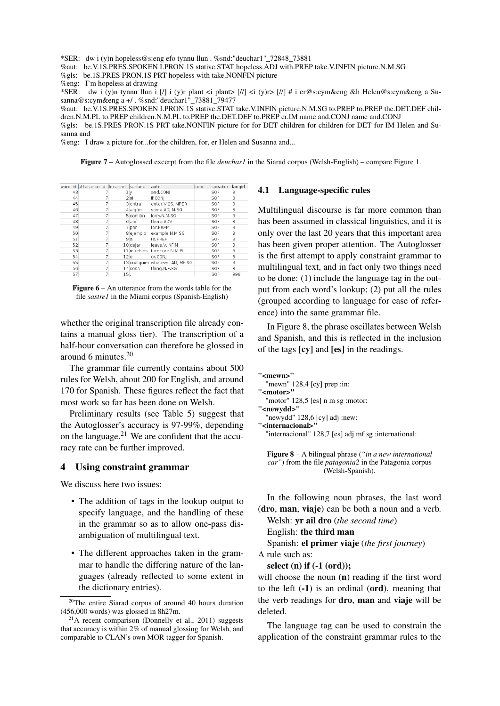\*SER: dw i (y)n hopeless@s:eng efo tynnu llun . %snd:"deuchar1"\_72848\_73881

%aut: be.V.1S.PRES.SPOKEN I.PRON.1S stative.STAT hopeless.ADJ with.PREP take.V.INFIN picture.N.M.SG

%gls: be.1S.PRES PRON.1S PRT hopeless with take.NONFIN picture

%eng: I'm hopeless at drawing

\*SER: dw i (y)n tynnu llun i [/] i (y)r plant <i plant> [//] <i (y)r> [//] # i er@s:cym&eng &h Helen@s:cym&eng a Susanna@s:cym&eng a +/ . %snd:"deuchar1"\_73881\_79477

%aut: be.V.1S.PRES.SPOKEN I.PRON.1S stative.STAT take.V.INFIN picture.N.M.SG to.PREP to.PREP the.DET.DEF children.N.M.PL to.PREP children.N.M.PL to.PREP the.DET.DEF to.PREP er.IM name and.CONJ name and.CONJ

%gls: be.1S.PRES PRON.1S PRT take.NONFIN picture for for DET children for children for DET for IM Helen and Susanna and

%eng: I draw a picture for...for the children, for, er Helen and Susanna and...

Figure 7 – Autoglossed excerpt from the file *deuchar1* in the Siarad corpus (Welsh-English) – compare Figure 1.

|    | word id utterance id location |                 | surface   | lauto                           | com | speaker | langid |
|----|-------------------------------|-----------------|-----------|---------------------------------|-----|---------|--------|
| 43 |                               | lν              |           | and CONI                        |     | SOF     | 3      |
| 44 |                               |                 | 2 si      | if.CON                          |     | SOF     | 3      |
| 45 |                               |                 | 3 entra   | enter.V.2S.IMPER                |     | SOF     | 3      |
| 46 |                               |                 | 4 algún   | some.ADI.M.SG                   |     | SOF     | 3      |
| 47 |                               |                 | 5 camión  | lorry.N.M.SG                    |     | SOF     | 3      |
| 48 |                               |                 | 6 ahí     | there.ADV                       |     | SOF     | 3      |
| 49 |                               |                 | 7 por     | for.PREP                        |     | SOF     | 3      |
| 50 |                               |                 | 8 ejemplo | example.N.M.SG                  |     | SOF     | 3      |
| 51 | 7                             |                 | 9 a       | to.PREP                         |     | SOF     | 3      |
| 52 |                               |                 | 10 dejar  | leave.V.INFIN                   |     | SOF     | 3      |
| 53 |                               |                 |           | 11 muebles furniture.N.M.PL     |     | SOF     | 3      |
| 54 |                               | 12 <sub>0</sub> |           | or.CONI                         |     | SOF     | 3      |
| 55 |                               |                 |           | 13 cualquier whatever.ADJ.MF.SG |     | SOF     | 3      |
| 56 |                               |                 | 14 cosa   | thing.N.F.SG                    |     | SOF     | 3      |
| 57 | 7                             | 15.             |           |                                 |     | SOF     | 999    |
|    |                               |                 |           |                                 |     |         |        |

**Figure 6** – An utterance from the words table for the file *sastre1* in the Miami corpus (Spanish-English)

whether the original transcription file already contains a manual gloss tier). The transcription of a half-hour conversation can therefore be glossed in around 6 minutes.<sup>20</sup>

The grammar file currently contains about 500 rules for Welsh, about 200 for English, and around 170 for Spanish. These figures reflect the fact that most work so far has been done on Welsh.

Preliminary results (see Table 5) suggest that the Autoglosser's accuracy is 97-99%, depending on the language. $^{21}$  We are confident that the accuracy rate can be further improved.

#### 4 Using constraint grammar

We discuss here two issues:

- The addition of tags in the lookup output to specify language, and the handling of these in the grammar so as to allow one-pass disambiguation of multilingual text.
- The different approaches taken in the grammar to handle the differing nature of the languages (already reflected to some extent in the dictionary entries).

#### 4.1 Language-specific rules

Multilingual discourse is far more common than has been assumed in classical linguistics, and it is only over the last 20 years that this important area has been given proper attention. The Autoglosser is the first attempt to apply constraint grammar to multilingual text, and in fact only two things need to be done: (1) include the language tag in the output from each word's lookup; (2) put all the rules (grouped according to language for ease of reference) into the same grammar file.

In Figure 8, the phrase oscillates between Welsh and Spanish, and this is reflected in the inclusion of the tags [cy] and [es] in the readings.

```
"<mewn>"
"mewn" 128,4 [cy] prep :in:
```
- "<motor>" "motor"  $128,5$  [es] n m sg :motor: "<newydd>"
- "newydd" 128,6 [cy] adj :new:
- "<internacional>"

"internacional" 128,7 [es] adj mf sg :international:

Figure 8 – A bilingual phrase (*"in a new international car"*) from the file *patagonia2* in the Patagonia corpus (Welsh-Spanish).

In the following noun phrases, the last word (dro, man, viaje) can be both a noun and a verb. Welsh: yr ail dro (*the second time*)

English: the third man

Spanish: el primer viaje (*the first journey*)

A rule such as:

#### select (n) if (-1 (ord));

will choose the noun (n) reading if the first word to the left  $(-1)$  is an ordinal (ord), meaning that the verb readings for **dro**, **man** and **viaje** will be deleted.

The language tag can be used to constrain the application of the constraint grammar rules to the

 $20$ The entire Siarad corpus of around 40 hours duration (456,000 words) was glossed in 8h27m.

 $21$ A recent comparison (Donnelly et al., 2011) suggests that accuracy is within 2% of manual glossing for Welsh, and comparable to CLAN's own MOR tagger for Spanish.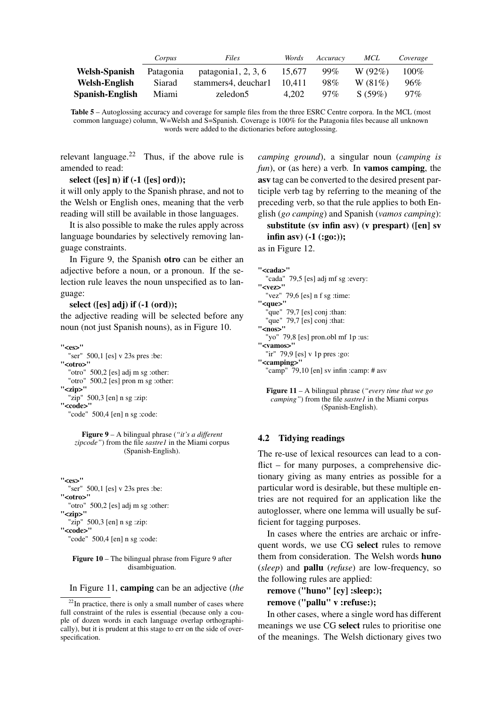|                      | Corpus    | Files                 | Words  | Accuracy | MCL    | Coverage |
|----------------------|-----------|-----------------------|--------|----------|--------|----------|
| <b>Welsh-Spanish</b> | Patagonia | patagonia1, $2, 3, 6$ | 15.677 | 99%      | W(92%) | $100\%$  |
| <b>Welsh-English</b> | Siarad    | stammers4, deuchar1   | 10.411 | 98%      | W(81%) | 96%      |
| Spanish-English      | Miami     | zeledon5              | 4.202  | $97\%$   | S(59%) | $97\%$   |

Table 5 – Autoglossing accuracy and coverage for sample files from the three ESRC Centre corpora. In the MCL (most common language) column, W=Welsh and S=Spanish. Coverage is 100% for the Patagonia files because all unknown words were added to the dictionaries before autoglossing.

relevant language.<sup>22</sup> Thus, if the above rule is amended to read:

#### select ( $[es]$  n) if  $(-1)$  ( $[es]$  ord));

it will only apply to the Spanish phrase, and not to the Welsh or English ones, meaning that the verb reading will still be available in those languages.

It is also possible to make the rules apply across language boundaries by selectively removing language constraints.

In Figure 9, the Spanish otro can be either an adjective before a noun, or a pronoun. If the selection rule leaves the noun unspecified as to language:

select ([es] adj) if (-1 (ord));

the adjective reading will be selected before any noun (not just Spanish nouns), as in Figure 10.

"<es>" "ser" 500,1 [es] v 23s pres :be: "<otro>" "otro" 500,2 [es] adj m sg :other: "otro" 500,2 [es] pron m sg :other: "<zip>" "zip"  $500,3$  [en] n sg :zip: "<code>"</code> "code" 500,4 [en] n sg :code:

#### Figure 9 – A bilingual phrase (*"it's a different zipcode"*) from the file *sastre1* in the Miami corpus (Spanish-English).

"<es>" "ser" 500,1 [es] v 23s pres :be: "<otro>" "otro" 500,2 [es] adj m sg :other: "<zip>" "zip" 500,3 [en] n sg :zip: "<code>" "code" 500.4 [en] n sg :code:

#### Figure 10 – The bilingual phrase from Figure 9 after disambiguation.

In Figure 11, camping can be an adjective (*the*

*camping ground*), a singular noun (*camping is fun*), or (as here) a verb. In **vamos camping**, the asv tag can be converted to the desired present participle verb tag by referring to the meaning of the preceding verb, so that the rule applies to both English (*go camping*) and Spanish (*vamos camping*):

substitute (sv infin asv) (v prespart) ([en] sv infin asy)  $(-1$   $(:g0:))$ ;

as in Figure 12.

#### "<cada>" "cada" 79,5 [es] adj mf sg :every: "<vez>" "vez" 79,6 [es] n f sg :time: "<que>" "que" 79,7 [es] conj :than: "que" 79,7 [es] conj :that:  $"<$ nos>" "yo" 79,8 [es] pron.obl mf 1p :us: "<vamos>" "ir" 79,9 [es] v 1p pres :go: "<camping>" "camp" 79,10 [en] sv infin :camp: # asv

Figure 11 – A bilingual phrase (*"every time that we go camping"*) from the file *sastre1* in the Miami corpus (Spanish-English).

## 4.2 Tidying readings

The re-use of lexical resources can lead to a conflict – for many purposes, a comprehensive dictionary giving as many entries as possible for a particular word is desirable, but these multiple entries are not required for an application like the autoglosser, where one lemma will usually be sufficient for tagging purposes.

In cases where the entries are archaic or infrequent words, we use CG select rules to remove them from consideration. The Welsh words huno (*sleep*) and pallu (*refuse*) are low-frequency, so the following rules are applied:

remove ("huno" [cy] :sleep:);

```
remove ("pallu" v :refuse:);
```
In other cases, where a single word has different meanings we use CG select rules to prioritise one of the meanings. The Welsh dictionary gives two

 $22$ In practice, there is only a small number of cases where full constraint of the rules is essential (because only a couple of dozen words in each language overlap orthographically), but it is prudent at this stage to err on the side of overspecification.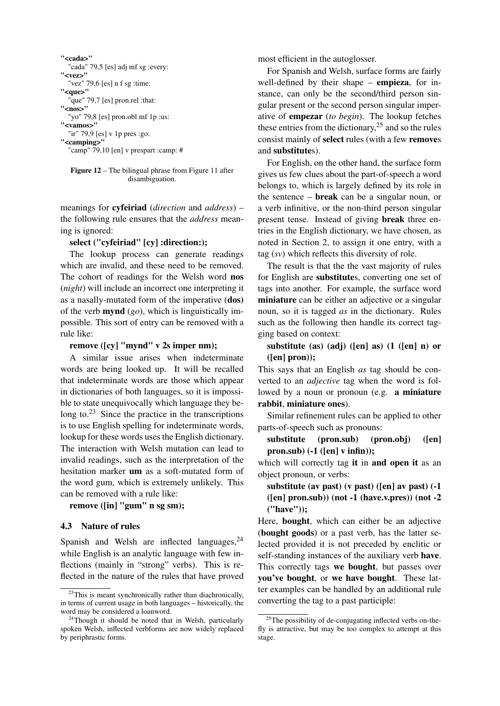

"camp" 79,10 [en] v prespart :camp: #

Figure 12 – The bilingual phrase from Figure 11 after disambiguation.

meanings for cyfeiriad (*direction* and *address*) – the following rule ensures that the *address* meaning is ignored:

## select ("cyfeiriad" [cy] :direction:);

The lookup process can generate readings which are invalid, and these need to be removed. The cohort of readings for the Welsh word nos (*night*) will include an incorrect one interpreting it as a nasally-mutated form of the imperative (dos) of the verb mynd (*go*), which is linguistically impossible. This sort of entry can be removed with a rule like:

### remove ([cy] "mynd" v 2s imper nm);

A similar issue arises when indeterminate words are being looked up. It will be recalled that indeterminate words are those which appear in dictionaries of both languages, so it is impossible to state unequivocally which language they belong to. $^{23}$  Since the practice in the transcriptions is to use English spelling for indeterminate words, lookup for these words uses the English dictionary. The interaction with Welsh mutation can lead to invalid readings, such as the interpretation of the hesitation marker um as a soft-mutated form of the word gum, which is extremely unlikely. This can be removed with a rule like:

#### remove ([in] "gum" n sg sm):

#### 4.3 Nature of rules

Spanish and Welsh are inflected languages,  $24$ while English is an analytic language with few inflections (mainly in "strong" verbs). This is reflected in the nature of the rules that have proved most efficient in the autoglosser.

For Spanish and Welsh, surface forms are fairly well-defined by their shape – **empieza**, for instance, can only be the second/third person singular present or the second person singular imperative of empezar (*to begin*). The lookup fetches these entries from the dictionary,  $2<sup>5</sup>$  and so the rules consist mainly of select rules (with a few removes and substitutes).

For English, on the other hand, the surface form gives us few clues about the part-of-speech a word belongs to, which is largely defined by its role in the sentence – break can be a singular noun, or a verb infinitive, or the non-third person singular present tense. Instead of giving break three entries in the English dictionary, we have chosen, as noted in Section 2, to assign it one entry, with a tag (*sv*) which reflects this diversity of role.

The result is that the the vast majority of rules for English are substitutes, converting one set of tags into another. For example, the surface word miniature can be either an adjective or a singular noun, so it is tagged *as* in the dictionary. Rules such as the following then handle its correct tagging based on context:

substitute (as) (adj) ([en] as) (1 ([en] n) or ([en] pron));

This says that an English *as* tag should be converted to an *adjective* tag when the word is followed by a noun or pronoun (e.g. **a miniature** rabbit, miniature ones).

Similar refinement rules can be applied to other parts-of-speech such as pronouns:

substitute (pron.sub) (pron.obj) ([en]  $pron.sub)$  (-1 ([en] v infin));

which will correctly tag it in and open it as an object pronoun, or verbs:

substitute (av past) (v past) ([en] av past) (-1 ([en] pron.sub)) (not -1 (have.v.pres)) (not -2 ("have"));

Here, bought, which can either be an adjective (bought goods) or a past verb, has the latter selected provided it is not preceded by enclitic or self-standing instances of the auxiliary verb have. This correctly tags we bought, but passes over you've bought, or we have bought. These latter examples can be handled by an additional rule converting the tag to a past participle:

<sup>&</sup>lt;sup>23</sup>This is meant synchronically rather than diachronically, in terms of current usage in both languages – historically, the word may be considered a loanword.

<sup>&</sup>lt;sup>24</sup>Though it should be noted that in Welsh, particularly spoken Welsh, inflected verbforms are now widely replaced by periphrastic forms.

<sup>&</sup>lt;sup>25</sup>The possibility of de-conjugating inflected verbs on-thefly is attractive, but may be too complex to attempt at this stage.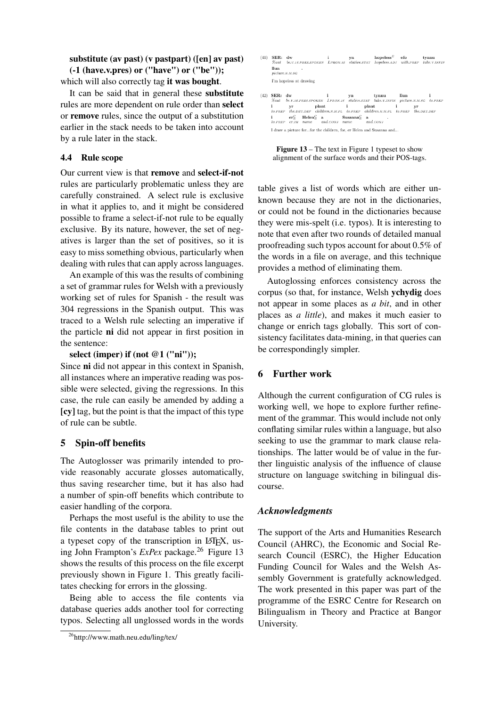## substitute (av past) (v pastpart) ([en] av past) (-1 (have.v.pres) or ("have") or ("be"));

which will also correctly tag it was bought.

It can be said that in general these substitute rules are more dependent on rule order than select or remove rules, since the output of a substitution earlier in the stack needs to be taken into account by a rule later in the stack.

## 4.4 Rule scope

Our current view is that remove and select-if-not rules are particularly problematic unless they are carefully constrained. A select rule is exclusive in what it applies to, and it might be considered possible to frame a select-if-not rule to be equally exclusive. By its nature, however, the set of negatives is larger than the set of positives, so it is easy to miss something obvious, particularly when dealing with rules that can apply across languages.

An example of this was the results of combining a set of grammar rules for Welsh with a previously working set of rules for Spanish - the result was 304 regressions in the Spanish output. This was traced to a Welsh rule selecting an imperative if the particle ni did not appear in first position in the sentence:

## select (imper) if (not @1 ("ni"));

Since ni did not appear in this context in Spanish, all instances where an imperative reading was possible were selected, giving the regressions. In this case, the rule can easily be amended by adding a [cy] tag, but the point is that the impact of this type of rule can be subtle.

## 5 Spin-off benefits

The Autoglosser was primarily intended to provide reasonably accurate glosses automatically, thus saving researcher time, but it has also had a number of spin-off benefits which contribute to easier handling of the corpora.

Perhaps the most useful is the ability to use the file contents in the database tables to print out a typeset copy of the transcription in LATEX, using John Frampton's *ExPex* package.<sup>26</sup> Figure 13 shows the results of this process on the file excerpt previously shown in Figure 1. This greatly facilitates checking for errors in the glossing.

Being able to access the file contents via database queries adds another tool for correcting typos. Selecting all unglossed words in the words

- $(41) \begin{tabular}{lcccccc} \bf SER: & dw & & & \bf{in} & \bf{ppeles} & \bf{efo} & \bf{tynnu} \\ \mathcal{R}aut & be.v.isPRESSPOKEN & I. PRON.is & state.sTAT & hopeless& \bf{for} & \bf{tynnu} \\ \end{tabular}$ I'm hopeless at drawing
- $\begin{tabular}{lllllll} (42) & **SER:} & **dw** & **i** & **yn** & **tynnu** & **llun** & **i** \\ & & & \mathcal{K}aut & be.v. \emph{is.} \emph{spins.} \emph{spons.} & **Lenv. \emph{is.} & **static** start & **take.v. \emph{INPN} & picture.N.M.SG & to.PREFN \\ \end{tabular}******$ *i* plant is part in the part of the property of the series of the series of the part of the DET.DEF children.N.M.PL to.PREP children.N.M.PL to.PREP the DET.DEF  $\begin{array}{lllllll} \textbf{i} & \textbf{er}_E^C & \textbf{Helen}_E^C & \textbf{a} & \textbf{Susanna}_E^C & \textbf{a} \\ \textit{to}.\textit{PREF} & \textit{e}.\textit{IM} & \textit{name} & \textit{and}.\textit{CONJ} & \textit{name} & \textit{and}.\textit{CONJ} \end{array}$ I draw a picture for...for the children, for, er Helen and Susanna and,

Figure 13 – The text in Figure 1 typeset to show alignment of the surface words and their POS-tags.

table gives a list of words which are either unknown because they are not in the dictionaries, or could not be found in the dictionaries because they were mis-spelt (i.e. typos). It is interesting to note that even after two rounds of detailed manual proofreading such typos account for about 0.5% of the words in a file on average, and this technique provides a method of eliminating them.

Autoglossing enforces consistency across the corpus (so that, for instance, Welsh ychydig does not appear in some places as *a bit*, and in other places as *a little*), and makes it much easier to change or enrich tags globally. This sort of consistency facilitates data-mining, in that queries can be correspondingly simpler.

## 6 Further work

Although the current configuration of CG rules is working well, we hope to explore further refinement of the grammar. This would include not only conflating similar rules within a language, but also seeking to use the grammar to mark clause relationships. The latter would be of value in the further linguistic analysis of the influence of clause structure on language switching in bilingual discourse.

## *Acknowledgments*

The support of the Arts and Humanities Research Council (AHRC), the Economic and Social Research Council (ESRC), the Higher Education Funding Council for Wales and the Welsh Assembly Government is gratefully acknowledged. The work presented in this paper was part of the programme of the ESRC Centre for Research on Bilingualism in Theory and Practice at Bangor University.

<sup>26</sup>http://www.math.neu.edu/ling/tex/